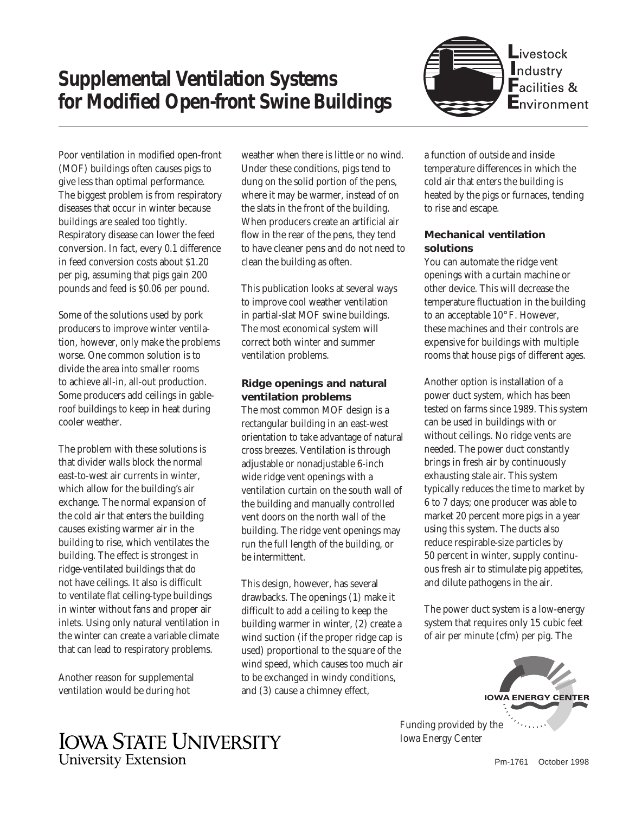# **Supplemental Ventilation Systems for Modified Open-front Swine Buildings**



Poor ventilation in modified open-front (MOF) buildings often causes pigs to give less than optimal performance. The biggest problem is from respiratory diseases that occur in winter because buildings are sealed too tightly. Respiratory disease can lower the feed conversion. In fact, every 0.1 difference in feed conversion costs about \$1.20 per pig, assuming that pigs gain 200 pounds and feed is \$0.06 per pound.

Some of the solutions used by pork producers to improve winter ventilation, however, only make the problems worse. One common solution is to divide the area into smaller rooms to achieve all-in, all-out production. Some producers add ceilings in gableroof buildings to keep in heat during cooler weather.

The problem with these solutions is that divider walls block the normal east-to-west air currents in winter, which allow for the building's air exchange. The normal expansion of the cold air that enters the building causes existing warmer air in the building to rise, which ventilates the building. The effect is strongest in ridge-ventilated buildings that do not have ceilings. It also is difficult to ventilate flat ceiling-type buildings in winter without fans and proper air inlets. Using only natural ventilation in the winter can create a variable climate that can lead to respiratory problems.

Another reason for supplemental ventilation would be during hot

weather when there is little or no wind. Under these conditions, pigs tend to dung on the solid portion of the pens, where it may be warmer, instead of on the slats in the front of the building. When producers create an artificial air flow in the rear of the pens, they tend to have cleaner pens and do not need to clean the building as often.

This publication looks at several ways to improve cool weather ventilation in partial-slat MOF swine buildings. The most economical system will correct both winter and summer ventilation problems.

### **Ridge openings and natural ventilation problems**

The most common MOF design is a rectangular building in an east-west orientation to take advantage of natural cross breezes. Ventilation is through adjustable or nonadjustable 6-inch wide ridge vent openings with a ventilation curtain on the south wall of the building and manually controlled vent doors on the north wall of the building. The ridge vent openings may run the full length of the building, or be intermittent.

This design, however, has several drawbacks. The openings (1) make it difficult to add a ceiling to keep the building warmer in winter, (2) create a wind suction (if the proper ridge cap is used) proportional to the square of the wind speed, which causes too much air to be exchanged in windy conditions, and (3) cause a chimney effect,

a function of outside and inside temperature differences in which the cold air that enters the building is heated by the pigs or furnaces, tending to rise and escape.

## **Mechanical ventilation solutions**

You can automate the ridge vent openings with a curtain machine or other device. This will decrease the temperature fluctuation in the building to an acceptable 10° F. However, these machines and their controls are expensive for buildings with multiple rooms that house pigs of different ages.

Another option is installation of a power duct system, which has been tested on farms since 1989. This system can be used in buildings with or without ceilings. No ridge vents are needed. The power duct constantly brings in fresh air by continuously exhausting stale air. This system typically reduces the time to market by 6 to 7 days; one producer was able to market 20 percent more pigs in a year using this system. The ducts also reduce respirable-size particles by 50 percent in winter, supply continuous fresh air to stimulate pig appetites, and dilute pathogens in the air.

The power duct system is a low-energy system that requires only 15 cubic feet of air per minute (cfm) per pig. The



Funding provided by the Iowa Energy Center

## **IOWA STATE UNIVERSITY University Extension**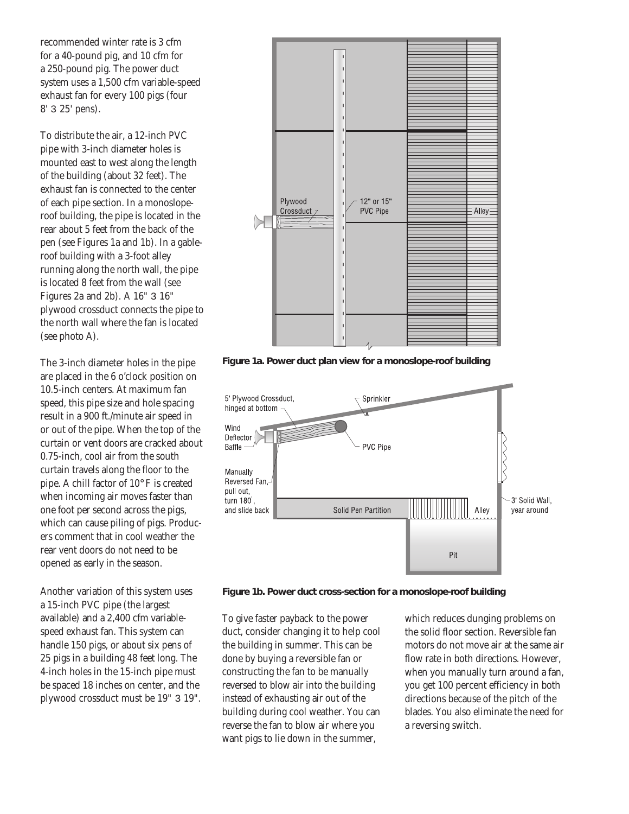recommended winter rate is 3 cfm for a 40-pound pig, and 10 cfm for a 250-pound pig. The power duct system uses a 1,500 cfm variable-speed exhaust fan for every 100 pigs (four 8' 3 25' pens).

To distribute the air, a 12-inch PVC pipe with 3-inch diameter holes is mounted east to west along the length of the building (about 32 feet). The exhaust fan is connected to the center of each pipe section. In a monosloperoof building, the pipe is located in the rear about 5 feet from the back of the pen (see Figures 1a and 1b). In a gableroof building with a 3-foot alley running along the north wall, the pipe is located 8 feet from the wall (see Figures 2a and 2b). A 16" 3 16" plywood crossduct connects the pipe to the north wall where the fan is located (see photo A).

The 3-inch diameter holes in the pipe are placed in the 6 o'clock position on 10.5-inch centers. At maximum fan speed, this pipe size and hole spacing result in a 900 ft./minute air speed in or out of the pipe. When the top of the curtain or vent doors are cracked about 0.75-inch, cool air from the south curtain travels along the floor to the pipe. A chill factor of 10° F is created when incoming air moves faster than one foot per second across the pigs, which can cause piling of pigs. Producers comment that in cool weather the rear vent doors do not need to be opened as early in the season.

Another variation of this system uses a 15-inch PVC pipe (the largest available) and a 2,400 cfm variablespeed exhaust fan. This system can handle 150 pigs, or about six pens of 25 pigs in a building 48 feet long. The 4-inch holes in the 15-inch pipe must be spaced 18 inches on center, and the plywood crossduct must be 19" 3 19".



**Figure 1a. Power duct plan view for a monoslope-roof building**





To give faster payback to the power duct, consider changing it to help cool the building in summer. This can be done by buying a reversible fan or constructing the fan to be manually reversed to blow air into the building instead of exhausting air out of the building during cool weather. You can reverse the fan to blow air where you want pigs to lie down in the summer,

which reduces dunging problems on the solid floor section. Reversible fan motors do not move air at the same air flow rate in both directions. However, when you manually turn around a fan, you get 100 percent efficiency in both directions because of the pitch of the blades. You also eliminate the need for a reversing switch.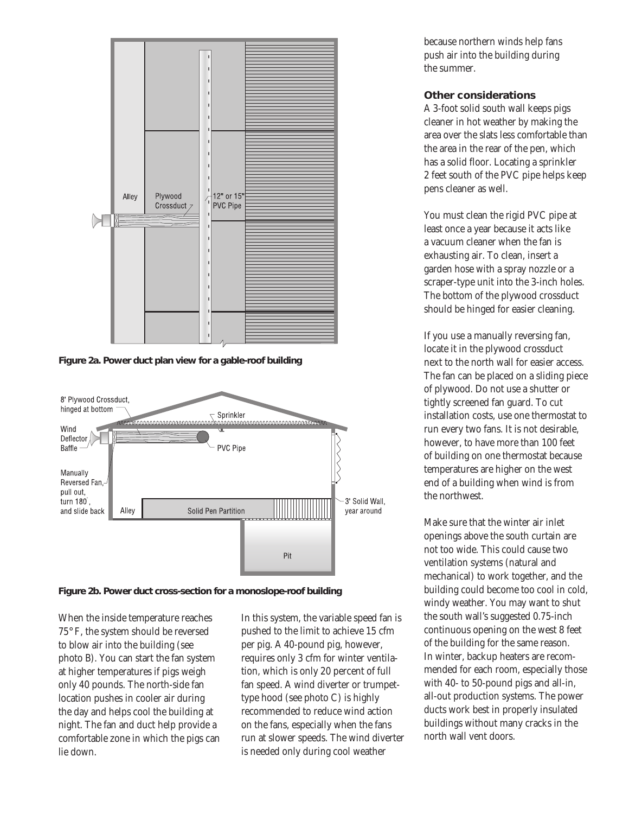

**Figure 2a. Power duct plan view for a gable-roof building**



**Figure 2b. Power duct cross-section for a monoslope-roof building**

When the inside temperature reaches 75° F, the system should be reversed to blow air into the building (see photo B). You can start the fan system at higher temperatures if pigs weigh only 40 pounds. The north-side fan location pushes in cooler air during the day and helps cool the building at night. The fan and duct help provide a comfortable zone in which the pigs can lie down.

In this system, the variable speed fan is pushed to the limit to achieve 15 cfm per pig. A 40-pound pig, however, requires only 3 cfm for winter ventilation, which is only 20 percent of full fan speed. A wind diverter or trumpettype hood (see photo C) is highly recommended to reduce wind action on the fans, especially when the fans run at slower speeds. The wind diverter is needed only during cool weather

because northern winds help fans push air into the building during the summer.

### **Other considerations**

A 3-foot solid south wall keeps pigs cleaner in hot weather by making the area over the slats less comfortable than the area in the rear of the pen, which has a solid floor. Locating a sprinkler 2 feet south of the PVC pipe helps keep pens cleaner as well.

You must clean the rigid PVC pipe at least once a year because it acts like a vacuum cleaner when the fan is exhausting air. To clean, insert a garden hose with a spray nozzle or a scraper-type unit into the 3-inch holes. The bottom of the plywood crossduct should be hinged for easier cleaning.

If you use a manually reversing fan, locate it in the plywood crossduct next to the north wall for easier access. The fan can be placed on a sliding piece of plywood. Do not use a shutter or tightly screened fan guard. To cut installation costs, use one thermostat to run every two fans. It is not desirable, however, to have more than 100 feet of building on one thermostat because temperatures are higher on the west end of a building when wind is from the northwest.

Make sure that the winter air inlet openings above the south curtain are not too wide. This could cause two ventilation systems (natural and mechanical) to work together, and the building could become too cool in cold, windy weather. You may want to shut the south wall's suggested 0.75-inch continuous opening on the west 8 feet of the building for the same reason. In winter, backup heaters are recommended for each room, especially those with 40- to 50-pound pigs and all-in, all-out production systems. The power ducts work best in properly insulated buildings without many cracks in the north wall vent doors.